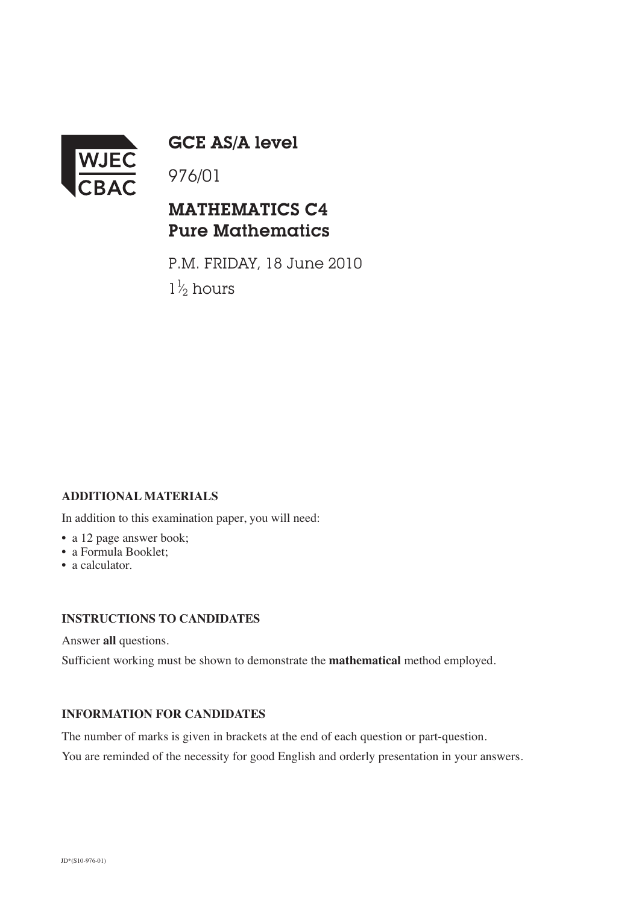

GCE AS/A level

## MATHEMATICS C4 Pure Mathematics

P.M. FRIDAY, 18 June 2010  $1\frac{1}{2}$  hours ⁄

## **ADDITIONAL MATERIALS**

In addition to this examination paper, you will need:

- a 12 page answer book;
- a Formula Booklet;
- a calculator.

## **INSTRUCTIONS TO CANDIDATES**

Answer **all** questions.

Sufficient working must be shown to demonstrate the **mathematical** method employed.

## **INFORMATION FOR CANDIDATES**

The number of marks is given in brackets at the end of each question or part-question.

You are reminded of the necessity for good English and orderly presentation in your answers.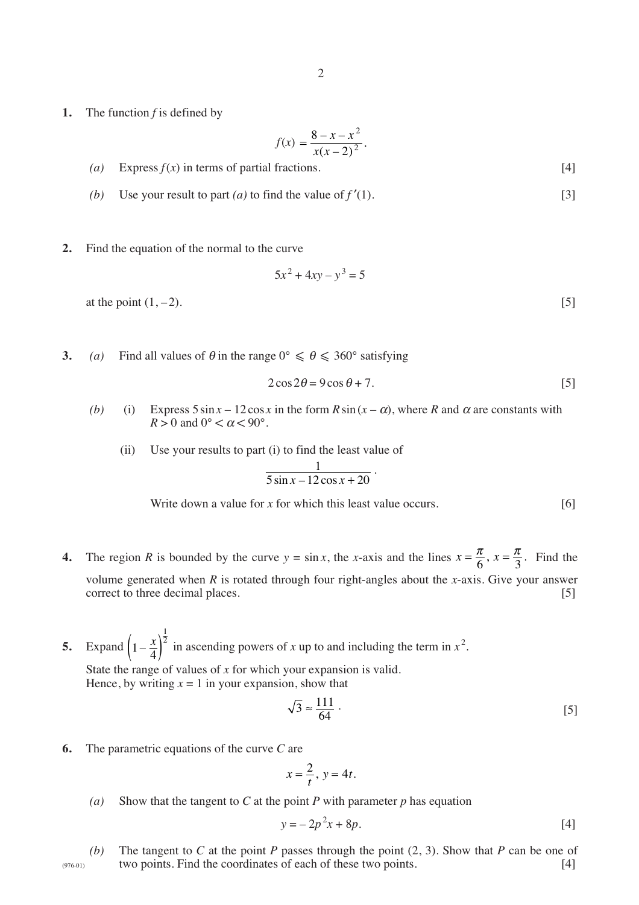**1.** The function *f* is defined by

$$
f(x) = \frac{8 - x - x^2}{x(x - 2)^2}.
$$

- (*a*) Express  $f(x)$  in terms of partial fractions. [4]
- *(b)* Use your result to part *(a)* to find the value of  $f'(1)$ . [3]
- **2.** Find the equation of the normal to the curve

$$
5x^2 + 4xy - y^3 = 5
$$

at the point  $(1, -2)$ . [5]

**3.** *(a)* Find all values of  $\theta$  in the range  $0^{\circ} \le \theta \le 360^{\circ}$  satisfying

$$
2\cos 2\theta = 9\cos \theta + 7. \tag{5}
$$

- (b) (i) Express  $5 \sin x 12 \cos x$  in the form  $R \sin (x \alpha)$ , where *R* and  $\alpha$  are constants with  $R > 0$  and  $0^{\circ} < \alpha < 90^{\circ}$ .
	- (ii) Use your results to part (i) to find the least value of

$$
\frac{1}{5\sin x - 12\cos x + 20}
$$

Write down a value for *x* for which this least value occurs. [6]

- **4.** The region *R* is bounded by the curve  $y = \sin x$ , the *x*-axis and the lines  $x = \frac{\pi}{6}$ ,  $x = \frac{\pi}{3}$ . Find the volume generated when *R* is rotated through four right-angles about the *x*-axis. Give your answer correct to three decimal places. [5]
- **5.** Expand  $\left(1 \frac{x}{4}\right)^2$  in ascending powers of *x* up to and including the term in  $x^2$ . State the range of values of *x* for which your expansion is valid. Hence, by writing  $x = 1$  in your expansion, show that 1  $\left(1-\frac{x}{4}\right)^{\frac{1}{2}}$

$$
\sqrt{3} \approx \frac{111}{64} \tag{5}
$$

**6.** The parametric equations of the curve *C* are

$$
x=\frac{2}{t}, y=4t.
$$

*(a)* Show that the tangent to *C* at the point *P* with parameter *p* has equation

$$
y = -2p^2x + 8p.
$$
 [4]

(976-01) *(b)* The tangent to *C* at the point *P* passes through the point (2, 3). Show that *P* can be one of two points. Find the coordinates of each of these two points. [4]